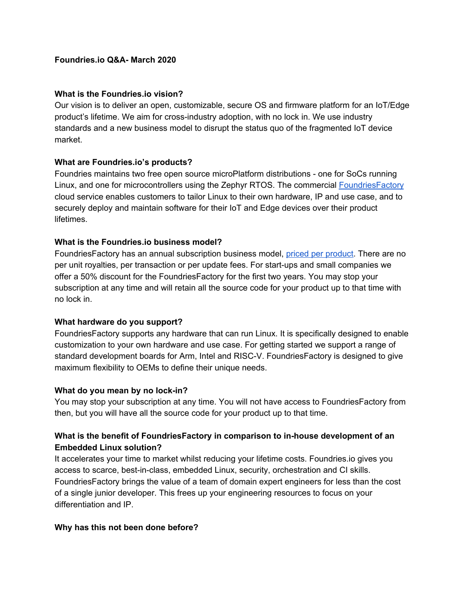### **What is the Foundries.io vision?**

Our vision is to deliver an open, customizable, secure OS and firmware platform for an IoT/Edge product's lifetime. We aim for cross-industry adoption, with no lock in. We use industry standards and a new business model to disrupt the status quo of the fragmented IoT device market.

### **What are Foundries.io's products?**

Foundries maintains two free open source microPlatform distributions - one for SoCs running Linux, and one for microcontrollers using the Zephyr RTOS. The commercial [FoundriesFactory](https://foundries.io/products/) cloud service enables customers to tailor Linux to their own hardware, IP and use case, and to securely deploy and maintain software for their IoT and Edge devices over their product lifetimes.

### **What is the Foundries.io business model?**

FoundriesFactory has an annual subscription business model, priced per [product.](https://foundries.io/pricing/) There are no per unit royalties, per transaction or per update fees. For start-ups and small companies we offer a 50% discount for the FoundriesFactory for the first two years. You may stop your subscription at any time and will retain all the source code for your product up to that time with no lock in.

#### **What hardware do you support?**

FoundriesFactory supports any hardware that can run Linux. It is specifically designed to enable customization to your own hardware and use case. For getting started we support a range of standard development boards for Arm, Intel and RISC-V. FoundriesFactory is designed to give maximum flexibility to OEMs to define their unique needs.

#### **What do you mean by no lock-in?**

You may stop your subscription at any time. You will not have access to FoundriesFactory from then, but you will have all the source code for your product up to that time.

# **What is the benefit of FoundriesFactory in comparison to in-house development of an Embedded Linux solution?**

It accelerates your time to market whilst reducing your lifetime costs. Foundries.io gives you access to scarce, best-in-class, embedded Linux, security, orchestration and CI skills. FoundriesFactory brings the value of a team of domain expert engineers for less than the cost of a single junior developer. This frees up your engineering resources to focus on your differentiation and IP.

#### **Why has this not been done before?**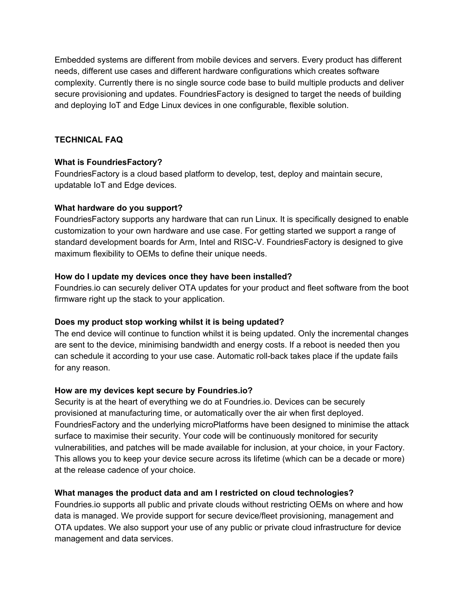Embedded systems are different from mobile devices and servers. Every product has different needs, different use cases and different hardware configurations which creates software complexity. Currently there is no single source code base to build multiple products and deliver secure provisioning and updates. FoundriesFactory is designed to target the needs of building and deploying IoT and Edge Linux devices in one configurable, flexible solution.

# **TECHNICAL FAQ**

#### **What is FoundriesFactory?**

FoundriesFactory is a cloud based platform to develop, test, deploy and maintain secure, updatable IoT and Edge devices.

#### **What hardware do you support?**

FoundriesFactory supports any hardware that can run Linux. It is specifically designed to enable customization to your own hardware and use case. For getting started we support a range of standard development boards for Arm, Intel and RISC-V. FoundriesFactory is designed to give maximum flexibility to OEMs to define their unique needs.

#### **How do I update my devices once they have been installed?**

Foundries.io can securely deliver OTA updates for your product and fleet software from the boot firmware right up the stack to your application.

#### **Does my product stop working whilst it is being updated?**

The end device will continue to function whilst it is being updated. Only the incremental changes are sent to the device, minimising bandwidth and energy costs. If a reboot is needed then you can schedule it according to your use case. Automatic roll-back takes place if the update fails for any reason.

#### **How are my devices kept secure by Foundries.io?**

Security is at the heart of everything we do at Foundries.io. Devices can be securely provisioned at manufacturing time, or automatically over the air when first deployed. FoundriesFactory and the underlying microPlatforms have been designed to minimise the attack surface to maximise their security. Your code will be continuously monitored for security vulnerabilities, and patches will be made available for inclusion, at your choice, in your Factory. This allows you to keep your device secure across its lifetime (which can be a decade or more) at the release cadence of your choice.

# **What manages the product data and am I restricted on cloud technologies?**

Foundries.io supports all public and private clouds without restricting OEMs on where and how data is managed. We provide support for secure device/fleet provisioning, management and OTA updates. We also support your use of any public or private cloud infrastructure for device management and data services.